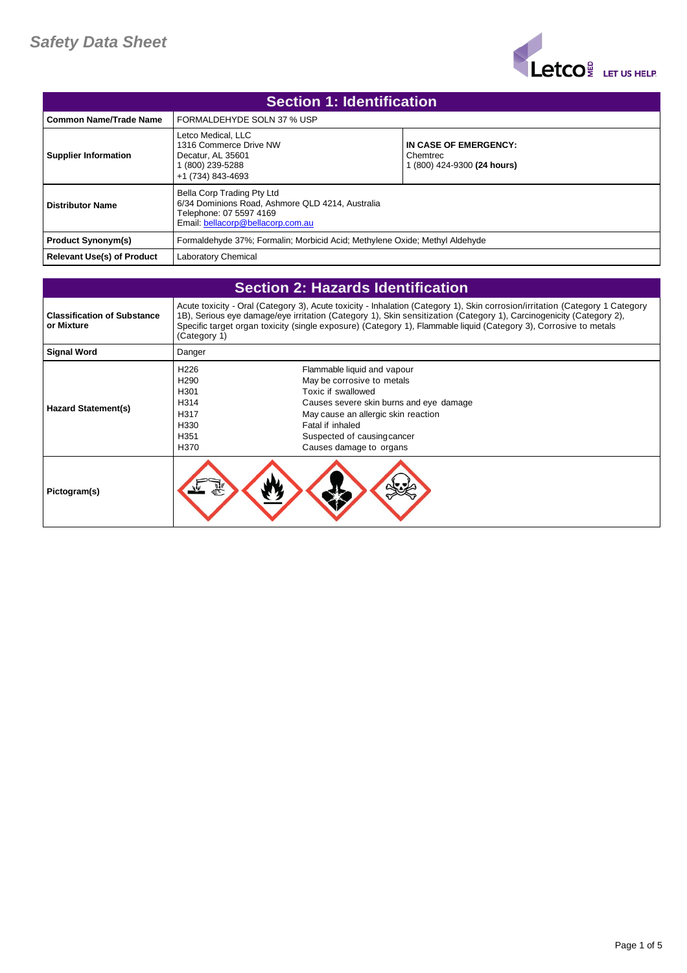

| <b>Section 1: Identification</b>  |                                                                                                                                                |                                                                  |  |
|-----------------------------------|------------------------------------------------------------------------------------------------------------------------------------------------|------------------------------------------------------------------|--|
| Common Name/Trade Name            | FORMALDEHYDE SOLN 37 % USP                                                                                                                     |                                                                  |  |
| <b>Supplier Information</b>       | Letco Medical, LLC<br>1316 Commerce Drive NW<br>Decatur, AL 35601<br>(800) 239-5288<br>+1 (734) 843-4693                                       | IN CASE OF EMERGENCY:<br>Chemtrec<br>1 (800) 424-9300 (24 hours) |  |
| Distributor Name                  | Bella Corp Trading Pty Ltd<br>6/34 Dominions Road, Ashmore QLD 4214, Australia<br>Telephone: 07 5597 4169<br>Email: bellacorp@bellacorp.com.au |                                                                  |  |
| <b>Product Synonym(s)</b>         | Formaldehyde 37%; Formalin; Morbicid Acid; Methylene Oxide; Methyl Aldehyde                                                                    |                                                                  |  |
| <b>Relevant Use(s) of Product</b> | Laboratory Chemical                                                                                                                            |                                                                  |  |

| <b>Section 2: Hazards Identification</b>         |                                                                                                                                                                                                                                                                                                                                                                                          |                                                                                                                                                                                                                                                 |
|--------------------------------------------------|------------------------------------------------------------------------------------------------------------------------------------------------------------------------------------------------------------------------------------------------------------------------------------------------------------------------------------------------------------------------------------------|-------------------------------------------------------------------------------------------------------------------------------------------------------------------------------------------------------------------------------------------------|
| <b>Classification of Substance</b><br>or Mixture | Acute toxicity - Oral (Category 3), Acute toxicity - Inhalation (Category 1), Skin corrosion/irritation (Category 1 Category<br>1B), Serious eye damage/eye irritation (Category 1), Skin sensitization (Category 1), Carcinogenicity (Category 2),<br>Specific target organ toxicity (single exposure) (Category 1), Flammable liquid (Category 3), Corrosive to metals<br>(Category 1) |                                                                                                                                                                                                                                                 |
| <b>Signal Word</b>                               | Danger                                                                                                                                                                                                                                                                                                                                                                                   |                                                                                                                                                                                                                                                 |
| <b>Hazard Statement(s)</b>                       | H <sub>226</sub><br>H <sub>290</sub><br>H301<br>H314<br>H317<br>H330<br>H351<br>H370                                                                                                                                                                                                                                                                                                     | Flammable liquid and vapour<br>May be corrosive to metals<br>Toxic if swallowed<br>Causes severe skin burns and eye damage<br>May cause an allergic skin reaction<br>Fatal if inhaled<br>Suspected of causing cancer<br>Causes damage to organs |
| Pictogram(s)                                     |                                                                                                                                                                                                                                                                                                                                                                                          |                                                                                                                                                                                                                                                 |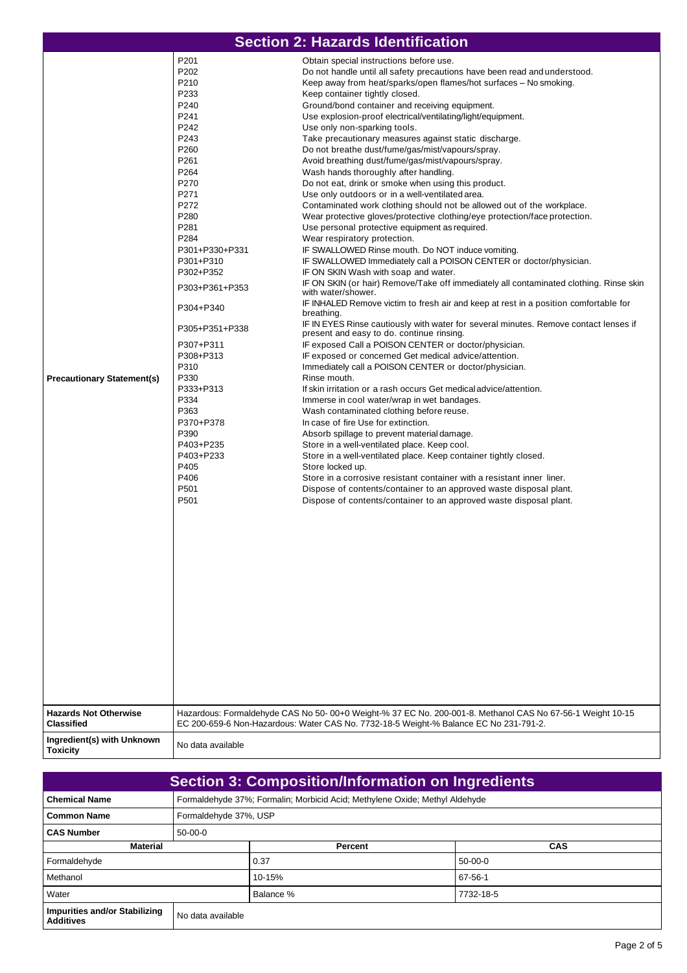|                                                                   |                                                                                                                                                                                                                                                                                                                                                                                         | <b>Section 2: Hazards Identification</b>                                                                                                                                                                                                                                                                                                                                                                                                                                                                                                                                                                                                                                                                                                                                                                                                                                                                                                                                                                                                                                                                                                                                                                                                                                                                                                                                                                                                                                                                                                                                                                                                                                                                                                                                                                                                                                                                                                                                                                                                                                                                                                                                                                                                                                                                                                                                                             |
|-------------------------------------------------------------------|-----------------------------------------------------------------------------------------------------------------------------------------------------------------------------------------------------------------------------------------------------------------------------------------------------------------------------------------------------------------------------------------|------------------------------------------------------------------------------------------------------------------------------------------------------------------------------------------------------------------------------------------------------------------------------------------------------------------------------------------------------------------------------------------------------------------------------------------------------------------------------------------------------------------------------------------------------------------------------------------------------------------------------------------------------------------------------------------------------------------------------------------------------------------------------------------------------------------------------------------------------------------------------------------------------------------------------------------------------------------------------------------------------------------------------------------------------------------------------------------------------------------------------------------------------------------------------------------------------------------------------------------------------------------------------------------------------------------------------------------------------------------------------------------------------------------------------------------------------------------------------------------------------------------------------------------------------------------------------------------------------------------------------------------------------------------------------------------------------------------------------------------------------------------------------------------------------------------------------------------------------------------------------------------------------------------------------------------------------------------------------------------------------------------------------------------------------------------------------------------------------------------------------------------------------------------------------------------------------------------------------------------------------------------------------------------------------------------------------------------------------------------------------------------------------|
| <b>Precautionary Statement(s)</b><br><b>Hazards Not Otherwise</b> | P201<br>P202<br>P210<br>P233<br>P240<br>P241<br>P242<br>P243<br>P260<br>P261<br>P264<br>P270<br>P271<br>P272<br>P280<br>P281<br>P284<br>P301+P330+P331<br>P301+P310<br>P302+P352<br>P303+P361+P353<br>P304+P340<br>P305+P351+P338<br>P307+P311<br>P308+P313<br>P310<br>P330<br>P333+P313<br>P334<br>P363<br>P370+P378<br>P390<br>P403+P235<br>P403+P233<br>P405<br>P406<br>P501<br>P501 | Obtain special instructions before use.<br>Do not handle until all safety precautions have been read and understood.<br>Keep away from heat/sparks/open flames/hot surfaces - No smoking.<br>Keep container tightly closed.<br>Ground/bond container and receiving equipment.<br>Use explosion-proof electrical/ventilating/light/equipment.<br>Use only non-sparking tools.<br>Take precautionary measures against static discharge.<br>Do not breathe dust/fume/gas/mist/vapours/spray.<br>Avoid breathing dust/fume/gas/mist/vapours/spray.<br>Wash hands thoroughly after handling.<br>Do not eat, drink or smoke when using this product.<br>Use only outdoors or in a well-ventilated area.<br>Contaminated work clothing should not be allowed out of the workplace.<br>Wear protective gloves/protective clothing/eye protection/face protection.<br>Use personal protective equipment as required.<br>Wear respiratory protection.<br>IF SWALLOWED Rinse mouth. Do NOT induce vomiting.<br>IF SWALLOWED Immediately call a POISON CENTER or doctor/physician.<br>IF ON SKIN Wash with soap and water.<br>IF ON SKIN (or hair) Remove/Take off immediately all contaminated clothing. Rinse skin<br>with water/shower.<br>IF INHALED Remove victim to fresh air and keep at rest in a position comfortable for<br>breathing.<br>IF IN EYES Rinse cautiously with water for several minutes. Remove contact lenses if<br>present and easy to do. continue rinsing.<br>IF exposed Call a POISON CENTER or doctor/physician.<br>IF exposed or concerned Get medical advice/attention.<br>Immediately call a POISON CENTER or doctor/physician.<br>Rinse mouth.<br>If skin irritation or a rash occurs Get medical advice/attention.<br>Immerse in cool water/wrap in wet bandages.<br>Wash contaminated clothing before reuse.<br>In case of fire Use for extinction.<br>Absorb spillage to prevent material damage.<br>Store in a well-ventilated place. Keep cool.<br>Store in a well-ventilated place. Keep container tightly closed.<br>Store locked up.<br>Store in a corrosive resistant container with a resistant inner liner.<br>Dispose of contents/container to an approved waste disposal plant.<br>Dispose of contents/container to an approved waste disposal plant.<br>Hazardous: Formaldehyde CAS No 50-00+0 Weight-% 37 EC No. 200-001-8. Methanol CAS No 67-56-1 Weight 10-15 |
| <b>Classified</b><br>Ingredient(s) with Unknown                   | No data available                                                                                                                                                                                                                                                                                                                                                                       | EC 200-659-6 Non-Hazardous: Water CAS No. 7732-18-5 Weight-% Balance EC No 231-791-2.                                                                                                                                                                                                                                                                                                                                                                                                                                                                                                                                                                                                                                                                                                                                                                                                                                                                                                                                                                                                                                                                                                                                                                                                                                                                                                                                                                                                                                                                                                                                                                                                                                                                                                                                                                                                                                                                                                                                                                                                                                                                                                                                                                                                                                                                                                                |
| <b>Toxicity</b>                                                   |                                                                                                                                                                                                                                                                                                                                                                                         |                                                                                                                                                                                                                                                                                                                                                                                                                                                                                                                                                                                                                                                                                                                                                                                                                                                                                                                                                                                                                                                                                                                                                                                                                                                                                                                                                                                                                                                                                                                                                                                                                                                                                                                                                                                                                                                                                                                                                                                                                                                                                                                                                                                                                                                                                                                                                                                                      |

| <b>Section 3: Composition/Information on Ingredients</b> |                                                                             |                       |            |  |
|----------------------------------------------------------|-----------------------------------------------------------------------------|-----------------------|------------|--|
| <b>Chemical Name</b>                                     | Formaldehyde 37%; Formalin; Morbicid Acid; Methylene Oxide; Methyl Aldehyde |                       |            |  |
| <b>Common Name</b>                                       |                                                                             | Formaldehyde 37%, USP |            |  |
| <b>CAS Number</b>                                        | $50-00-0$                                                                   |                       |            |  |
| <b>Material</b>                                          |                                                                             | Percent               | <b>CAS</b> |  |
| Formaldehyde                                             |                                                                             | 0.37                  | $50-00-0$  |  |
| Methanol                                                 |                                                                             | 10-15%                | 67-56-1    |  |
| Water                                                    |                                                                             | Balance %             | 7732-18-5  |  |
| Impurities and/or Stabilizing<br><b>Additives</b>        | No data available                                                           |                       |            |  |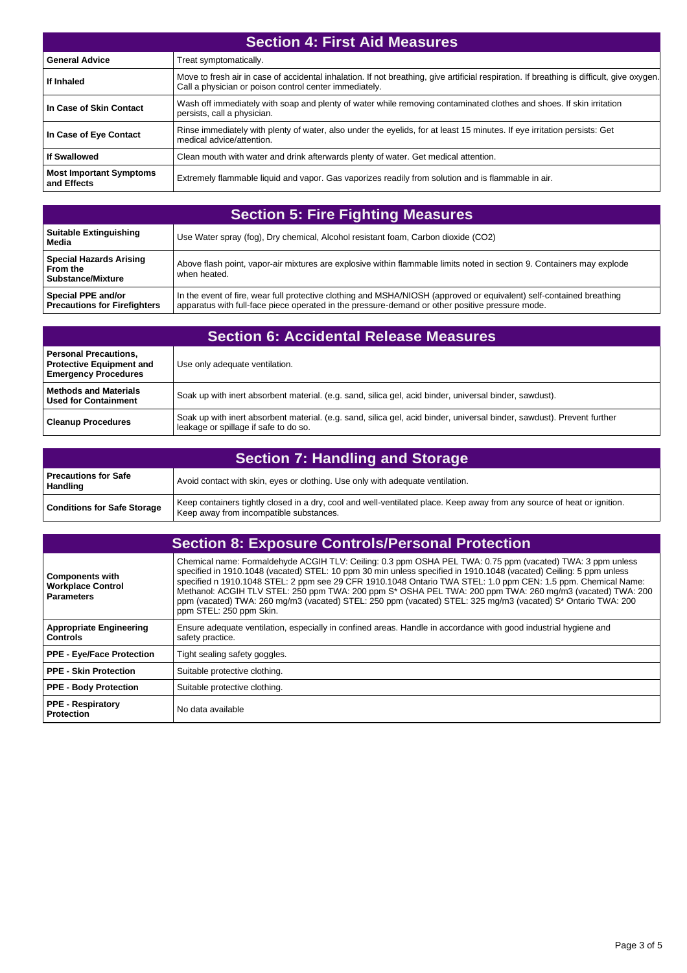| <b>Section 4: First Aid Measures</b>          |                                                                                                                                                                                                      |  |
|-----------------------------------------------|------------------------------------------------------------------------------------------------------------------------------------------------------------------------------------------------------|--|
| <b>General Advice</b>                         | Treat symptomatically.                                                                                                                                                                               |  |
| If Inhaled                                    | Move to fresh air in case of accidental inhalation. If not breathing, give artificial respiration. If breathing is difficult, give oxygen.<br>Call a physician or poison control center immediately. |  |
| In Case of Skin Contact                       | Wash off immediately with soap and plenty of water while removing contaminated clothes and shoes. If skin irritation<br>persists, call a physician.                                                  |  |
| In Case of Eye Contact                        | Rinse immediately with plenty of water, also under the eyelids, for at least 15 minutes. If eye irritation persists: Get<br>medical advice/attention.                                                |  |
| If Swallowed                                  | Clean mouth with water and drink afterwards plenty of water. Get medical attention.                                                                                                                  |  |
| <b>Most Important Symptoms</b><br>and Effects | Extremely flammable liquid and vapor. Gas vaporizes readily from solution and is flammable in air.                                                                                                   |  |

| <b>Section 5: Fire Fighting Measures</b>                                 |                                                                                                                                                                                                                         |  |
|--------------------------------------------------------------------------|-------------------------------------------------------------------------------------------------------------------------------------------------------------------------------------------------------------------------|--|
| Suitable Extinguishing<br>Media                                          | Use Water spray (fog), Dry chemical, Alcohol resistant foam, Carbon dioxide (CO2)                                                                                                                                       |  |
| <b>Special Hazards Arising</b><br>l From the<br><b>Substance/Mixture</b> | Above flash point, vapor-air mixtures are explosive within flammable limits noted in section 9. Containers may explode<br>when heated.                                                                                  |  |
| Special PPE and/or<br><b>Precautions for Firefighters</b>                | In the event of fire, wear full protective clothing and MSHA/NIOSH (approved or equivalent) self-contained breathing<br>apparatus with full-face piece operated in the pressure-demand or other positive pressure mode. |  |

| <b>Section 6: Accidental Release Measures</b>                                                  |                                                                                                                                                                  |  |
|------------------------------------------------------------------------------------------------|------------------------------------------------------------------------------------------------------------------------------------------------------------------|--|
| <b>Personal Precautions,</b><br><b>Protective Equipment and</b><br><b>Emergency Procedures</b> | Use only adequate ventilation.                                                                                                                                   |  |
| <b>Methods and Materials</b><br><b>Used for Containment</b>                                    | Soak up with inert absorbent material. (e.g. sand, silica gel, acid binder, universal binder, sawdust).                                                          |  |
| <b>Cleanup Procedures</b>                                                                      | Soak up with inert absorbent material. (e.g. sand, silica gel, acid binder, universal binder, sawdust). Prevent further<br>leakage or spillage if safe to do so. |  |

| <b>Section 7: Handling and Storage</b>    |                                                                                                                                                                    |
|-------------------------------------------|--------------------------------------------------------------------------------------------------------------------------------------------------------------------|
| l Precautions for Safe<br><b>Handling</b> | Avoid contact with skin, eyes or clothing. Use only with adequate ventilation.                                                                                     |
| <b>Conditions for Safe Storage</b>        | Keep containers tightly closed in a dry, cool and well-ventilated place. Keep away from any source of heat or ignition.<br>Keep away from incompatible substances. |

|                                                                         | <b>Section 8: Exposure Controls/Personal Protection</b>                                                                                                                                                                                                                                                                                                                                                                                                                                                                                                                                                   |
|-------------------------------------------------------------------------|-----------------------------------------------------------------------------------------------------------------------------------------------------------------------------------------------------------------------------------------------------------------------------------------------------------------------------------------------------------------------------------------------------------------------------------------------------------------------------------------------------------------------------------------------------------------------------------------------------------|
| <b>Components with</b><br><b>Workplace Control</b><br><b>Parameters</b> | Chemical name: Formaldehyde ACGIH TLV: Ceiling: 0.3 ppm OSHA PEL TWA: 0.75 ppm (vacated) TWA: 3 ppm unless<br>specified in 1910.1048 (vacated) STEL: 10 ppm 30 min unless specified in 1910.1048 (vacated) Ceiling: 5 ppm unless<br>specified n 1910.1048 STEL: 2 ppm see 29 CFR 1910.1048 Ontario TWA STEL: 1.0 ppm CEN: 1.5 ppm. Chemical Name:<br>Methanol: ACGIH TLV STEL: 250 ppm TWA: 200 ppm S* OSHA PEL TWA: 200 ppm TWA: 260 mg/m3 (vacated) TWA: 200<br>ppm (vacated) TWA: 260 mg/m3 (vacated) STEL: 250 ppm (vacated) STEL: 325 mg/m3 (vacated) S* Ontario TWA: 200<br>ppm STEL: 250 ppm Skin. |
| <b>Appropriate Engineering</b><br><b>Controls</b>                       | Ensure adequate ventilation, especially in confined areas. Handle in accordance with good industrial hygiene and<br>safety practice.                                                                                                                                                                                                                                                                                                                                                                                                                                                                      |
| <b>PPE - Eye/Face Protection</b>                                        | Tight sealing safety goggles.                                                                                                                                                                                                                                                                                                                                                                                                                                                                                                                                                                             |
| PPE - Skin Protection                                                   | Suitable protective clothing.                                                                                                                                                                                                                                                                                                                                                                                                                                                                                                                                                                             |
| <b>PPE - Body Protection</b>                                            | Suitable protective clothing.                                                                                                                                                                                                                                                                                                                                                                                                                                                                                                                                                                             |
| <b>PPE - Respiratory</b><br>Protection                                  | No data available                                                                                                                                                                                                                                                                                                                                                                                                                                                                                                                                                                                         |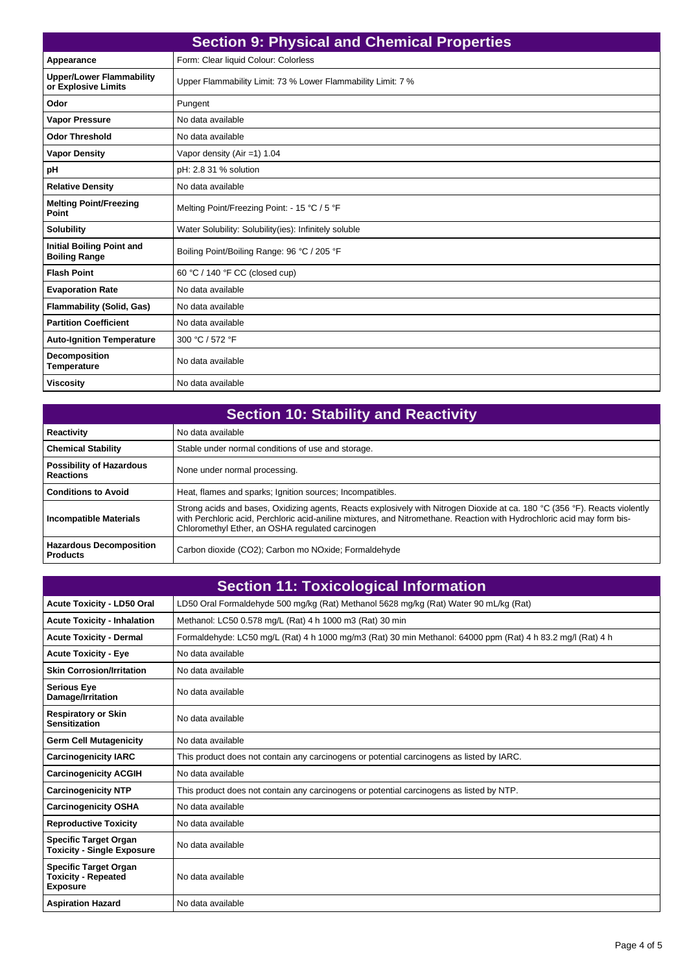| <b>Section 9: Physical and Chemical Properties</b>       |                                                              |  |
|----------------------------------------------------------|--------------------------------------------------------------|--|
| Appearance                                               | Form: Clear liquid Colour: Colorless                         |  |
| <b>Upper/Lower Flammability</b><br>or Explosive Limits   | Upper Flammability Limit: 73 % Lower Flammability Limit: 7 % |  |
| Odor                                                     | Pungent                                                      |  |
| <b>Vapor Pressure</b>                                    | No data available                                            |  |
| <b>Odor Threshold</b>                                    | No data available                                            |  |
| <b>Vapor Density</b>                                     | Vapor density (Air = 1) $1.04$                               |  |
| рH                                                       | pH: 2.8 31 % solution                                        |  |
| <b>Relative Density</b>                                  | No data available                                            |  |
| <b>Melting Point/Freezing</b><br>Point                   | Melting Point/Freezing Point: - 15 °C / 5 °F                 |  |
| <b>Solubility</b>                                        | Water Solubility: Solubility(ies): Infinitely soluble        |  |
| <b>Initial Boiling Point and</b><br><b>Boiling Range</b> | Boiling Point/Boiling Range: 96 °C / 205 °F                  |  |
| <b>Flash Point</b>                                       | 60 °C / 140 °F CC (closed cup)                               |  |
| <b>Evaporation Rate</b>                                  | No data available                                            |  |
| <b>Flammability (Solid, Gas)</b>                         | No data available                                            |  |
| <b>Partition Coefficient</b>                             | No data available                                            |  |
| <b>Auto-Ignition Temperature</b>                         | 300 °C / 572 °F                                              |  |
| Decomposition<br><b>Temperature</b>                      | No data available                                            |  |
| <b>Viscosity</b>                                         | No data available                                            |  |

| <b>Section 10: Stability and Reactivity</b>         |                                                                                                                                                                                                                                                                                                            |  |
|-----------------------------------------------------|------------------------------------------------------------------------------------------------------------------------------------------------------------------------------------------------------------------------------------------------------------------------------------------------------------|--|
| <b>Reactivity</b>                                   | No data available                                                                                                                                                                                                                                                                                          |  |
| <b>Chemical Stability</b>                           | Stable under normal conditions of use and storage.                                                                                                                                                                                                                                                         |  |
| <b>Possibility of Hazardous</b><br><b>Reactions</b> | None under normal processing.                                                                                                                                                                                                                                                                              |  |
| <b>Conditions to Avoid</b>                          | Heat, flames and sparks; Ignition sources; Incompatibles.                                                                                                                                                                                                                                                  |  |
| <b>Incompatible Materials</b>                       | Strong acids and bases, Oxidizing agents, Reacts explosively with Nitrogen Dioxide at ca. 180 °C (356 °F). Reacts violently<br>with Perchloric acid, Perchloric acid-aniline mixtures, and Nitromethane. Reaction with Hydrochloric acid may form bis-<br>Chloromethyl Ether, an OSHA regulated carcinogen |  |
| <b>Hazardous Decomposition</b><br><b>Products</b>   | Carbon dioxide (CO2); Carbon mo NOxide; Formaldehyde                                                                                                                                                                                                                                                       |  |

|                                                                               | <b>Section 11: Toxicological Information</b>                                                                |
|-------------------------------------------------------------------------------|-------------------------------------------------------------------------------------------------------------|
| <b>Acute Toxicity - LD50 Oral</b>                                             | LD50 Oral Formaldehyde 500 mg/kg (Rat) Methanol 5628 mg/kg (Rat) Water 90 mL/kg (Rat)                       |
| <b>Acute Toxicity - Inhalation</b>                                            | Methanol: LC50 0.578 mg/L (Rat) 4 h 1000 m3 (Rat) 30 min                                                    |
| <b>Acute Toxicity - Dermal</b>                                                | Formaldehyde: LC50 mg/L (Rat) 4 h 1000 mg/m3 (Rat) 30 min Methanol: 64000 ppm (Rat) 4 h 83.2 mg/l (Rat) 4 h |
| <b>Acute Toxicity - Eye</b>                                                   | No data available                                                                                           |
| <b>Skin Corrosion/Irritation</b>                                              | No data available                                                                                           |
| <b>Serious Eye</b><br>Damage/Irritation                                       | No data available                                                                                           |
| <b>Respiratory or Skin</b><br><b>Sensitization</b>                            | No data available                                                                                           |
| <b>Germ Cell Mutagenicity</b>                                                 | No data available                                                                                           |
| <b>Carcinogenicity IARC</b>                                                   | This product does not contain any carcinogens or potential carcinogens as listed by IARC.                   |
| <b>Carcinogenicity ACGIH</b>                                                  | No data available                                                                                           |
| <b>Carcinogenicity NTP</b>                                                    | This product does not contain any carcinogens or potential carcinogens as listed by NTP.                    |
| <b>Carcinogenicity OSHA</b>                                                   | No data available                                                                                           |
| <b>Reproductive Toxicity</b>                                                  | No data available                                                                                           |
| <b>Specific Target Organ</b><br><b>Toxicity - Single Exposure</b>             | No data available                                                                                           |
| <b>Specific Target Organ</b><br><b>Toxicity - Repeated</b><br><b>Exposure</b> | No data available                                                                                           |
| <b>Aspiration Hazard</b>                                                      | No data available                                                                                           |